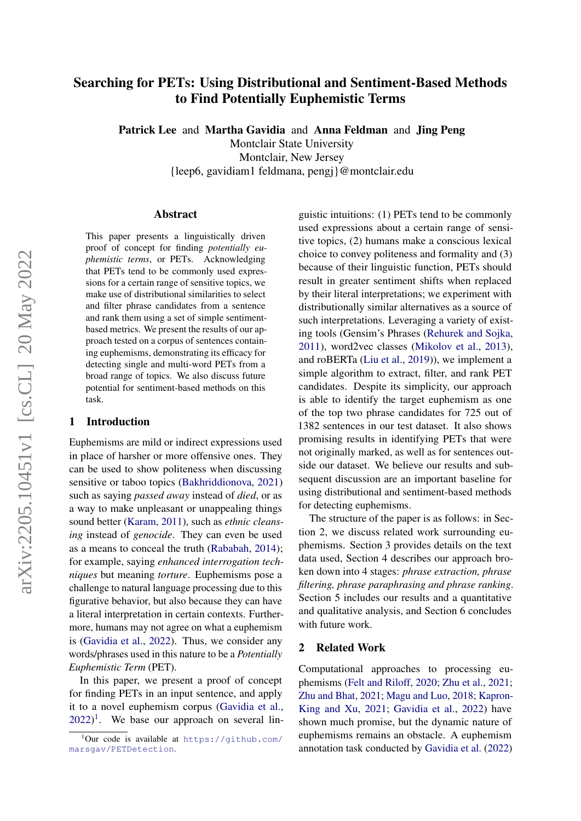# Searching for PETs: Using Distributional and Sentiment-Based Methods to Find Potentially Euphemistic Terms

Patrick Lee and Martha Gavidia and Anna Feldman and Jing Peng

Montclair State University

Montclair, New Jersey

{leep6, gavidiam1 feldmana, pengj}@montclair.edu

#### Abstract

This paper presents a linguistically driven proof of concept for finding *potentially euphemistic terms*, or PETs. Acknowledging that PETs tend to be commonly used expressions for a certain range of sensitive topics, we make use of distributional similarities to select and filter phrase candidates from a sentence and rank them using a set of simple sentimentbased metrics. We present the results of our approach tested on a corpus of sentences containing euphemisms, demonstrating its efficacy for detecting single and multi-word PETs from a broad range of topics. We also discuss future potential for sentiment-based methods on this task.

### 1 Introduction

Euphemisms are mild or indirect expressions used in place of harsher or more offensive ones. They can be used to show politeness when discussing sensitive or taboo topics [\(Bakhriddionova,](#page-4-0) [2021\)](#page-4-0) such as saying *passed away* instead of *died*, or as a way to make unpleasant or unappealing things sound better [\(Karam,](#page-4-1) [2011\)](#page-4-1), such as *ethnic cleansing* instead of *genocide*. They can even be used as a means to conceal the truth [\(Rababah,](#page-4-2) [2014\)](#page-4-2); for example, saying *enhanced interrogation techniques* but meaning *torture*. Euphemisms pose a challenge to natural language processing due to this figurative behavior, but also because they can have a literal interpretation in certain contexts. Furthermore, humans may not agree on what a euphemism is [\(Gavidia et al.,](#page-4-3) [2022\)](#page-4-3). Thus, we consider any words/phrases used in this nature to be a *Potentially Euphemistic Term* (PET).

In this paper, we present a proof of concept for finding PETs in an input sentence, and apply it to a novel euphemism corpus [\(Gavidia et al.,](#page-4-3)  $2022$ <sup>[1](#page-0-0)</sup>. We base our approach on several linguistic intuitions: (1) PETs tend to be commonly used expressions about a certain range of sensitive topics, (2) humans make a conscious lexical choice to convey politeness and formality and (3) because of their linguistic function, PETs should result in greater sentiment shifts when replaced by their literal interpretations; we experiment with distributionally similar alternatives as a source of such interpretations. Leveraging a variety of existing tools (Gensim's Phrases [\(Rehurek and Sojka,](#page-4-4) [2011\)](#page-4-4), word2vec classes [\(Mikolov et al.,](#page-4-5) [2013\)](#page-4-5), and roBERTa [\(Liu et al.,](#page-4-6) [2019\)](#page-4-6)), we implement a simple algorithm to extract, filter, and rank PET candidates. Despite its simplicity, our approach is able to identify the target euphemism as one of the top two phrase candidates for 725 out of 1382 sentences in our test dataset. It also shows promising results in identifying PETs that were not originally marked, as well as for sentences outside our dataset. We believe our results and subsequent discussion are an important baseline for using distributional and sentiment-based methods for detecting euphemisms.

The structure of the paper is as follows: in Section 2, we discuss related work surrounding euphemisms. Section 3 provides details on the text data used, Section 4 describes our approach broken down into 4 stages: *phrase extraction, phrase filtering, phrase paraphrasing and phrase ranking*. Section 5 includes our results and a quantitative and qualitative analysis, and Section 6 concludes with future work.

#### 2 Related Work

Computational approaches to processing euphemisms [\(Felt and Riloff,](#page-4-7) [2020;](#page-4-7) [Zhu et al.,](#page-5-0) [2021;](#page-5-0) [Zhu and Bhat,](#page-5-1) [2021;](#page-5-1) [Magu and Luo,](#page-4-8) [2018;](#page-4-8) [Kapron-](#page-4-9)[King and Xu,](#page-4-9) [2021;](#page-4-9) [Gavidia et al.,](#page-4-3) [2022\)](#page-4-3) have shown much promise, but the dynamic nature of euphemisms remains an obstacle. A euphemism annotation task conducted by [Gavidia et al.](#page-4-3) [\(2022\)](#page-4-3)

<span id="page-0-0"></span> $1$ Our code is available at [https://github.com/](https://github.com/marsgav/PETDetection) [marsgav/PETDetection](https://github.com/marsgav/PETDetection).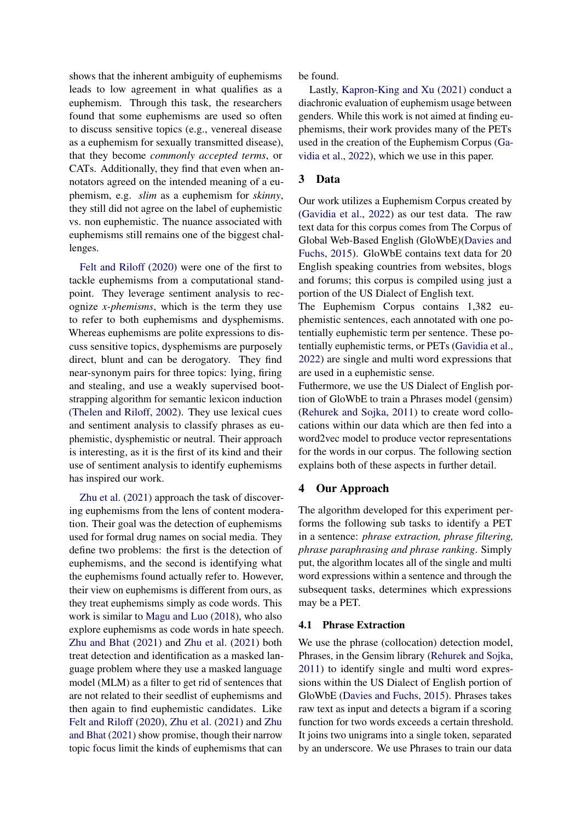shows that the inherent ambiguity of euphemisms leads to low agreement in what qualifies as a euphemism. Through this task, the researchers found that some euphemisms are used so often to discuss sensitive topics (e.g., venereal disease as a euphemism for sexually transmitted disease), that they become *commonly accepted terms*, or CATs. Additionally, they find that even when annotators agreed on the intended meaning of a euphemism, e.g. *slim* as a euphemism for *skinny*, they still did not agree on the label of euphemistic vs. non euphemistic. The nuance associated with euphemisms still remains one of the biggest challenges.

[Felt and Riloff](#page-4-7) [\(2020\)](#page-4-7) were one of the first to tackle euphemisms from a computational standpoint. They leverage sentiment analysis to recognize *x-phemisms*, which is the term they use to refer to both euphemisms and dysphemisms. Whereas euphemisms are polite expressions to discuss sensitive topics, dysphemisms are purposely direct, blunt and can be derogatory. They find near-synonym pairs for three topics: lying, firing and stealing, and use a weakly supervised bootstrapping algorithm for semantic lexicon induction [\(Thelen and Riloff,](#page-4-10) [2002\)](#page-4-10). They use lexical cues and sentiment analysis to classify phrases as euphemistic, dysphemistic or neutral. Their approach is interesting, as it is the first of its kind and their use of sentiment analysis to identify euphemisms has inspired our work.

[Zhu et al.](#page-5-0) [\(2021\)](#page-5-0) approach the task of discovering euphemisms from the lens of content moderation. Their goal was the detection of euphemisms used for formal drug names on social media. They define two problems: the first is the detection of euphemisms, and the second is identifying what the euphemisms found actually refer to. However, their view on euphemisms is different from ours, as they treat euphemisms simply as code words. This work is similar to [Magu and Luo](#page-4-8) [\(2018\)](#page-4-8), who also explore euphemisms as code words in hate speech. [Zhu and Bhat](#page-5-1) [\(2021\)](#page-5-1) and [Zhu et al.](#page-5-0) [\(2021\)](#page-5-0) both treat detection and identification as a masked language problem where they use a masked language model (MLM) as a filter to get rid of sentences that are not related to their seedlist of euphemisms and then again to find euphemistic candidates. Like [Felt and Riloff](#page-4-7) [\(2020\)](#page-4-7), [Zhu et al.](#page-5-0) [\(2021\)](#page-5-0) and [Zhu](#page-5-1) [and Bhat](#page-5-1) [\(2021\)](#page-5-1) show promise, though their narrow topic focus limit the kinds of euphemisms that can

be found.

Lastly, [Kapron-King and Xu](#page-4-9) [\(2021\)](#page-4-9) conduct a diachronic evaluation of euphemism usage between genders. While this work is not aimed at finding euphemisms, their work provides many of the PETs used in the creation of the Euphemism Corpus [\(Ga](#page-4-3)[vidia et al.,](#page-4-3) [2022\)](#page-4-3), which we use in this paper.

### 3 Data

Our work utilizes a Euphemism Corpus created by [\(Gavidia et al.,](#page-4-3) [2022\)](#page-4-3) as our test data. The raw text data for this corpus comes from The Corpus of Global Web-Based English (GloWbE)[\(Davies and](#page-4-11) [Fuchs,](#page-4-11) [2015\)](#page-4-11). GloWbE contains text data for 20 English speaking countries from websites, blogs and forums; this corpus is compiled using just a portion of the US Dialect of English text.

The Euphemism Corpus contains 1,382 euphemistic sentences, each annotated with one potentially euphemistic term per sentence. These potentially euphemistic terms, or PETs [\(Gavidia et al.,](#page-4-3) [2022\)](#page-4-3) are single and multi word expressions that are used in a euphemistic sense.

Futhermore, we use the US Dialect of English portion of GloWbE to train a Phrases model (gensim) [\(Rehurek and Sojka,](#page-4-4) [2011\)](#page-4-4) to create word collocations within our data which are then fed into a word2vec model to produce vector representations for the words in our corpus. The following section explains both of these aspects in further detail.

#### 4 Our Approach

The algorithm developed for this experiment performs the following sub tasks to identify a PET in a sentence: *phrase extraction, phrase filtering, phrase paraphrasing and phrase ranking*. Simply put, the algorithm locates all of the single and multi word expressions within a sentence and through the subsequent tasks, determines which expressions may be a PET.

#### 4.1 Phrase Extraction

We use the phrase (collocation) detection model, Phrases, in the Gensim library [\(Rehurek and Sojka,](#page-4-4) [2011\)](#page-4-4) to identify single and multi word expressions within the US Dialect of English portion of GloWbE [\(Davies and Fuchs,](#page-4-11) [2015\)](#page-4-11). Phrases takes raw text as input and detects a bigram if a scoring function for two words exceeds a certain threshold. It joins two unigrams into a single token, separated by an underscore. We use Phrases to train our data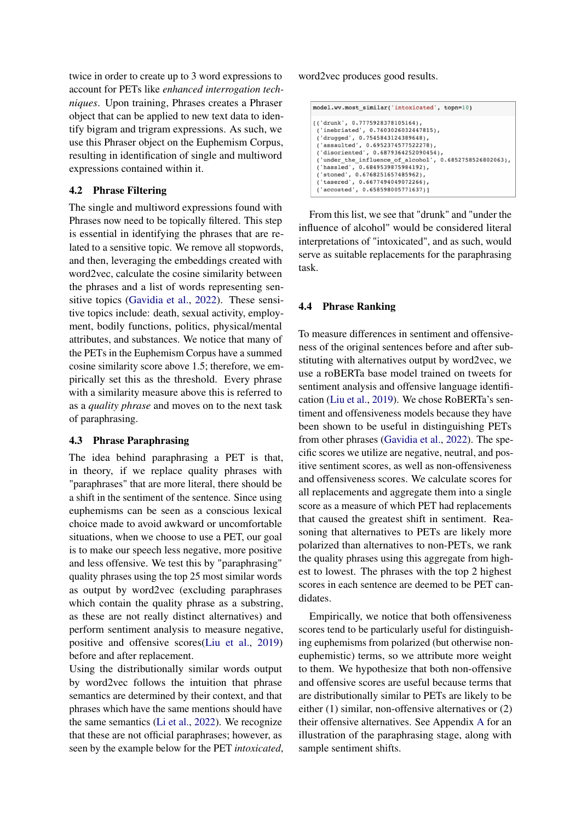twice in order to create up to 3 word expressions to account for PETs like *enhanced interrogation techniques*. Upon training, Phrases creates a Phraser object that can be applied to new text data to identify bigram and trigram expressions. As such, we use this Phraser object on the Euphemism Corpus, resulting in identification of single and multiword expressions contained within it.

## 4.2 Phrase Filtering

The single and multiword expressions found with Phrases now need to be topically filtered. This step is essential in identifying the phrases that are related to a sensitive topic. We remove all stopwords, and then, leveraging the embeddings created with word2vec, calculate the cosine similarity between the phrases and a list of words representing sensitive topics [\(Gavidia et al.,](#page-4-3) [2022\)](#page-4-3). These sensitive topics include: death, sexual activity, employment, bodily functions, politics, physical/mental attributes, and substances. We notice that many of the PETs in the Euphemism Corpus have a summed cosine similarity score above 1.5; therefore, we empirically set this as the threshold. Every phrase with a similarity measure above this is referred to as a *quality phrase* and moves on to the next task of paraphrasing.

#### 4.3 Phrase Paraphrasing

The idea behind paraphrasing a PET is that, in theory, if we replace quality phrases with "paraphrases" that are more literal, there should be a shift in the sentiment of the sentence. Since using euphemisms can be seen as a conscious lexical choice made to avoid awkward or uncomfortable situations, when we choose to use a PET, our goal is to make our speech less negative, more positive and less offensive. We test this by "paraphrasing" quality phrases using the top 25 most similar words as output by word2vec (excluding paraphrases which contain the quality phrase as a substring, as these are not really distinct alternatives) and perform sentiment analysis to measure negative, positive and offensive scores[\(Liu et al.,](#page-4-6) [2019\)](#page-4-6) before and after replacement.

Using the distributionally similar words output by word2vec follows the intuition that phrase semantics are determined by their context, and that phrases which have the same mentions should have the same semantics [\(Li et al.,](#page-4-12) [2022\)](#page-4-12). We recognize that these are not official paraphrases; however, as seen by the example below for the PET *intoxicated*, word2vec produces good results.

| model.wv.most similar('intoxicated', topn=10)                                                                                                                                                                                                                                                                                                                                                             |
|-----------------------------------------------------------------------------------------------------------------------------------------------------------------------------------------------------------------------------------------------------------------------------------------------------------------------------------------------------------------------------------------------------------|
| $[( 'drunk', 0.7775928378105164)$ ,<br>('inebriated', 0.7603026032447815),<br>('drugged', 0.7545843124389648),<br>('assaulted', 0.6952374577522278),<br>('disoriented', 0.6879364252090454),<br>('under the influence of alcohol', $0.6852758526802063$ ),<br>('hassled', 0.6849539875984192),<br>('stoned', 0.6768251657485962),<br>('tasered', 0.6677494049072266),<br>('accosted', 0.658598005771637)] |

From this list, we see that "drunk" and "under the influence of alcohol" would be considered literal interpretations of "intoxicated", and as such, would serve as suitable replacements for the paraphrasing task.

#### 4.4 Phrase Ranking

To measure differences in sentiment and offensiveness of the original sentences before and after substituting with alternatives output by word2vec, we use a roBERTa base model trained on tweets for sentiment analysis and offensive language identification [\(Liu et al.,](#page-4-6) [2019\)](#page-4-6). We chose RoBERTa's sentiment and offensiveness models because they have been shown to be useful in distinguishing PETs from other phrases [\(Gavidia et al.,](#page-4-3) [2022\)](#page-4-3). The specific scores we utilize are negative, neutral, and positive sentiment scores, as well as non-offensiveness and offensiveness scores. We calculate scores for all replacements and aggregate them into a single score as a measure of which PET had replacements that caused the greatest shift in sentiment. Reasoning that alternatives to PETs are likely more polarized than alternatives to non-PETs, we rank the quality phrases using this aggregate from highest to lowest. The phrases with the top 2 highest scores in each sentence are deemed to be PET candidates.

Empirically, we notice that both offensiveness scores tend to be particularly useful for distinguishing euphemisms from polarized (but otherwise noneuphemistic) terms, so we attribute more weight to them. We hypothesize that both non-offensive and offensive scores are useful because terms that are distributionally similar to PETs are likely to be either (1) similar, non-offensive alternatives or (2) their offensive alternatives. See Appendix [A](#page-6-0) for an illustration of the paraphrasing stage, along with sample sentiment shifts.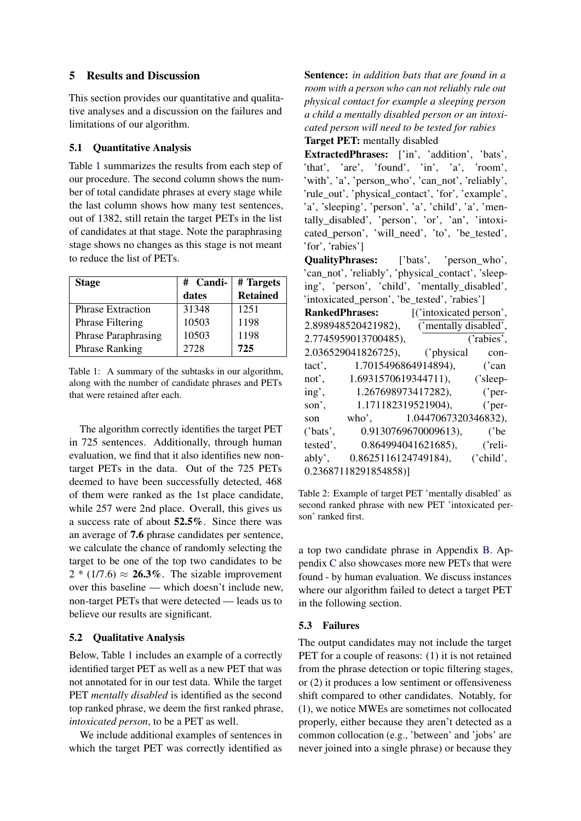### 5 Results and Discussion

This section provides our quantitative and qualitative analyses and a discussion on the failures and limitations of our algorithm.

#### 5.1 Quantitative Analysis

Table [1](#page-3-0) summarizes the results from each step of our procedure. The second column shows the number of total candidate phrases at every stage while the last column shows how many test sentences, out of 1382, still retain the target PETs in the list of candidates at that stage. Note the paraphrasing stage shows no changes as this stage is not meant to reduce the list of PETs.

<span id="page-3-0"></span>

| <b>Stage</b>             | # Candi- | # Targets       |
|--------------------------|----------|-----------------|
|                          | dates    | <b>Retained</b> |
| <b>Phrase Extraction</b> | 31348    | 1251            |
| <b>Phrase Filtering</b>  | 10503    | 1198            |
| Phrase Paraphrasing      | 10503    | 1198            |
| <b>Phrase Ranking</b>    | 2728     | 725             |

Table 1: A summary of the subtasks in our algorithm, along with the number of candidate phrases and PETs that were retained after each.

The algorithm correctly identifies the target PET in 725 sentences. Additionally, through human evaluation, we find that it also identifies new nontarget PETs in the data. Out of the 725 PETs deemed to have been successfully detected, 468 of them were ranked as the 1st place candidate, while 257 were 2nd place. Overall, this gives us a success rate of about 52.5%. Since there was an average of 7.6 phrase candidates per sentence, we calculate the chance of randomly selecting the target to be one of the top two candidates to be  $2 * (1/7.6) \approx 26.3\%$ . The sizable improvement over this baseline — which doesn't include new, non-target PETs that were detected — leads us to believe our results are significant.

## 5.2 Qualitative Analysis

Below, Table [1](#page-3-0) includes an example of a correctly identified target PET as well as a new PET that was not annotated for in our test data. While the target PET *mentally disabled* is identified as the second top ranked phrase, we deem the first ranked phrase, *intoxicated person*, to be a PET as well.

We include additional examples of sentences in which the target PET was correctly identified as Sentence: *in addition bats that are found in a room with a person who can not reliably rule out physical contact for example a sleeping person a child a mentally disabled person or an intoxicated person will need to be tested for rabies*

Target PET: mentally disabled

ExtractedPhrases: ['in', 'addition', 'bats', 'that', 'are', 'found', 'in', 'a', 'room', 'with', 'a', 'person\_who', 'can\_not', 'reliably', 'rule\_out', 'physical\_contact', 'for', 'example', 'a', 'sleeping', 'person', 'a', 'child', 'a', 'mentally\_disabled', 'person', 'or', 'an', 'intoxicated\_person', 'will\_need', 'to', 'be\_tested', 'for', 'rabies']

QualityPhrases: ['bats', 'person\_who', 'can\_not', 'reliably', 'physical\_contact', 'sleeping', 'person', 'child', 'mentally\_disabled', 'intoxicated\_person', 'be\_tested', 'rabies']

| <b>RankedPhrases:</b> |                        | [('intoxicated person', |                  |
|-----------------------|------------------------|-------------------------|------------------|
|                       | 2.898948520421982),    | ('mentally disabled',   |                  |
|                       | 2.7745959013700485),   |                         | ('rabies',       |
|                       | 2.036529041826725),    | ('physical              | con-             |
| tact',                | 1.7015496864914894),   |                         | ('can            |
| not',                 | 1.6931570619344711),   |                         | ('sleep-         |
| ing',                 | 1.267698973417282),    |                         | ('per-           |
| son',                 | 1.171182319521904),    |                         | $^{\prime}$ per- |
| son                   | $who$ ,                | 1.0447067320346832),    |                  |
| ('bats',              |                        | 0.9130769670009613),    | $^{\prime}$ be   |
| tested',              |                        | 0.864994041621685),     | ('reli-          |
| ably',                | $0.8625116124749184$ , |                         | ('child',        |
|                       | 0.23687118291854858)]  |                         |                  |

Table 2: Example of target PET 'mentally disabled' as second ranked phrase with new PET 'intoxicated person' ranked first.

a top two candidate phrase in Appendix [B.](#page-7-0) Appendix [C](#page-8-0) also showcases more new PETs that were found - by human evaluation. We discuss instances where our algorithm failed to detect a target PET in the following section.

## 5.3 Failures

The output candidates may not include the target PET for a couple of reasons: (1) it is not retained from the phrase detection or topic filtering stages, or (2) it produces a low sentiment or offensiveness shift compared to other candidates. Notably, for (1), we notice MWEs are sometimes not collocated properly, either because they aren't detected as a common collocation (e.g., 'between' and 'jobs' are never joined into a single phrase) or because they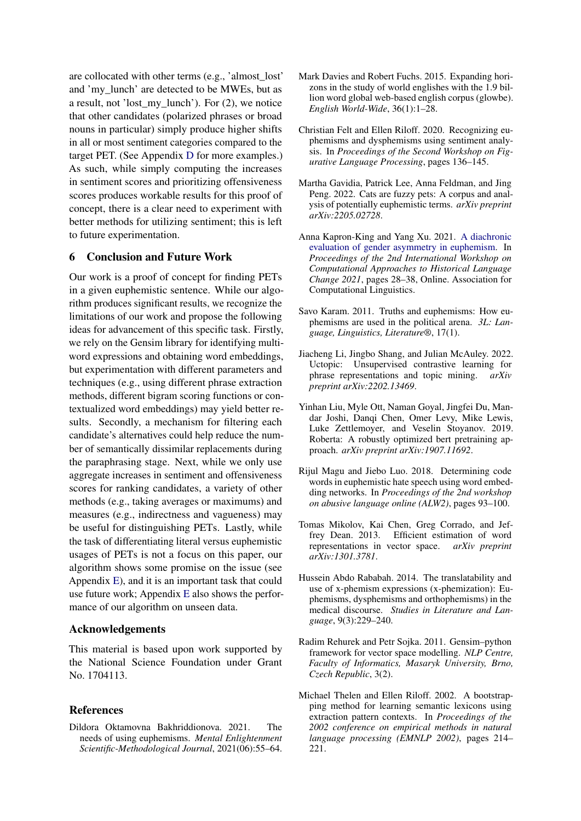are collocated with other terms (e.g., 'almost\_lost' and 'my\_lunch' are detected to be MWEs, but as a result, not 'lost\_my\_lunch'). For (2), we notice that other candidates (polarized phrases or broad nouns in particular) simply produce higher shifts in all or most sentiment categories compared to the target PET. (See Appendix [D](#page-9-0) for more examples.) As such, while simply computing the increases in sentiment scores and prioritizing offensiveness scores produces workable results for this proof of concept, there is a clear need to experiment with better methods for utilizing sentiment; this is left to future experimentation.

#### 6 Conclusion and Future Work

Our work is a proof of concept for finding PETs in a given euphemistic sentence. While our algorithm produces significant results, we recognize the limitations of our work and propose the following ideas for advancement of this specific task. Firstly, we rely on the Gensim library for identifying multiword expressions and obtaining word embeddings, but experimentation with different parameters and techniques (e.g., using different phrase extraction methods, different bigram scoring functions or contextualized word embeddings) may yield better results. Secondly, a mechanism for filtering each candidate's alternatives could help reduce the number of semantically dissimilar replacements during the paraphrasing stage. Next, while we only use aggregate increases in sentiment and offensiveness scores for ranking candidates, a variety of other methods (e.g., taking averages or maximums) and measures (e.g., indirectness and vagueness) may be useful for distinguishing PETs. Lastly, while the task of differentiating literal versus euphemistic usages of PETs is not a focus on this paper, our algorithm shows some promise on the issue (see Appendix [E\)](#page-10-0), and it is an important task that could use future work; Appendix [E](#page-10-0) also shows the performance of our algorithm on unseen data.

#### Acknowledgements

This material is based upon work supported by the National Science Foundation under Grant No. 1704113.

#### References

<span id="page-4-0"></span>Dildora Oktamovna Bakhriddionova. 2021. The needs of using euphemisms. *Mental Enlightenment Scientific-Methodological Journal*, 2021(06):55–64.

- <span id="page-4-11"></span>Mark Davies and Robert Fuchs. 2015. Expanding horizons in the study of world englishes with the 1.9 billion word global web-based english corpus (glowbe). *English World-Wide*, 36(1):1–28.
- <span id="page-4-7"></span>Christian Felt and Ellen Riloff. 2020. Recognizing euphemisms and dysphemisms using sentiment analysis. In *Proceedings of the Second Workshop on Figurative Language Processing*, pages 136–145.
- <span id="page-4-3"></span>Martha Gavidia, Patrick Lee, Anna Feldman, and Jing Peng. 2022. Cats are fuzzy pets: A corpus and analysis of potentially euphemistic terms. *arXiv preprint arXiv:2205.02728*.
- <span id="page-4-9"></span>Anna Kapron-King and Yang Xu. 2021. [A diachronic](https://doi.org/10.18653/v1/2021.lchange-1.5) [evaluation of gender asymmetry in euphemism.](https://doi.org/10.18653/v1/2021.lchange-1.5) In *Proceedings of the 2nd International Workshop on Computational Approaches to Historical Language Change 2021*, pages 28–38, Online. Association for Computational Linguistics.
- <span id="page-4-1"></span>Savo Karam. 2011. Truths and euphemisms: How euphemisms are used in the political arena. *3L: Language, Linguistics, Literature®*, 17(1).
- <span id="page-4-12"></span>Jiacheng Li, Jingbo Shang, and Julian McAuley. 2022. Uctopic: Unsupervised contrastive learning for phrase representations and topic mining. *arXiv preprint arXiv:2202.13469*.
- <span id="page-4-6"></span>Yinhan Liu, Myle Ott, Naman Goyal, Jingfei Du, Mandar Joshi, Danqi Chen, Omer Levy, Mike Lewis, Luke Zettlemoyer, and Veselin Stoyanov. 2019. Roberta: A robustly optimized bert pretraining approach. *arXiv preprint arXiv:1907.11692*.
- <span id="page-4-8"></span>Rijul Magu and Jiebo Luo. 2018. Determining code words in euphemistic hate speech using word embedding networks. In *Proceedings of the 2nd workshop on abusive language online (ALW2)*, pages 93–100.
- <span id="page-4-5"></span>Tomas Mikolov, Kai Chen, Greg Corrado, and Jeffrey Dean. 2013. Efficient estimation of word representations in vector space. *arXiv preprint arXiv:1301.3781*.
- <span id="page-4-2"></span>Hussein Abdo Rababah. 2014. The translatability and use of x-phemism expressions (x-phemization): Euphemisms, dysphemisms and orthophemisms) in the medical discourse. *Studies in Literature and Language*, 9(3):229–240.
- <span id="page-4-4"></span>Radim Rehurek and Petr Sojka. 2011. Gensim–python framework for vector space modelling. *NLP Centre, Faculty of Informatics, Masaryk University, Brno, Czech Republic*, 3(2).
- <span id="page-4-10"></span>Michael Thelen and Ellen Riloff. 2002. A bootstrapping method for learning semantic lexicons using extraction pattern contexts. In *Proceedings of the 2002 conference on empirical methods in natural language processing (EMNLP 2002)*, pages 214– 221.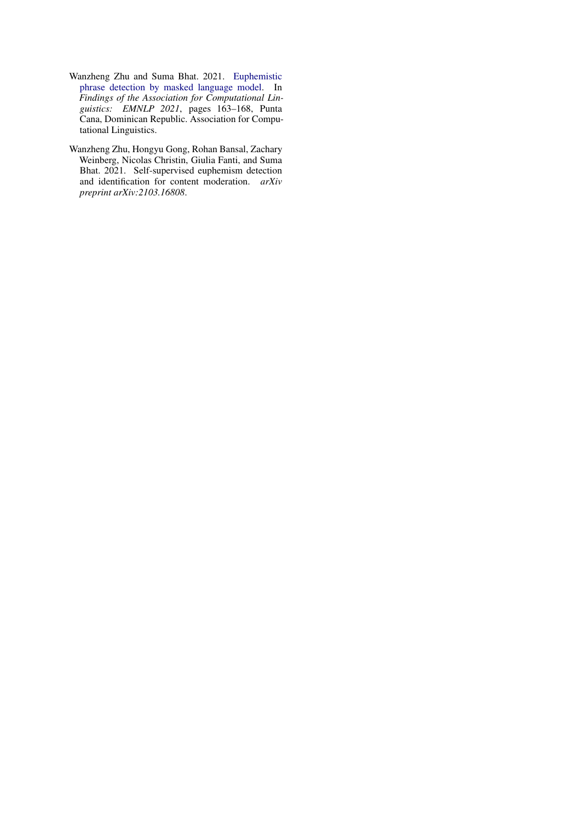- <span id="page-5-1"></span>Wanzheng Zhu and Suma Bhat. 2021. [Euphemistic](https://doi.org/10.18653/v1/2021.findings-emnlp.16) [phrase detection by masked language model.](https://doi.org/10.18653/v1/2021.findings-emnlp.16) In *Findings of the Association for Computational Linguistics: EMNLP 2021*, pages 163–168, Punta Cana, Dominican Republic. Association for Computational Linguistics.
- <span id="page-5-0"></span>Wanzheng Zhu, Hongyu Gong, Rohan Bansal, Zachary Weinberg, Nicolas Christin, Giulia Fanti, and Suma Bhat. 2021. Self-supervised euphemism detection and identification for content moderation. *arXiv preprint arXiv:2103.16808*.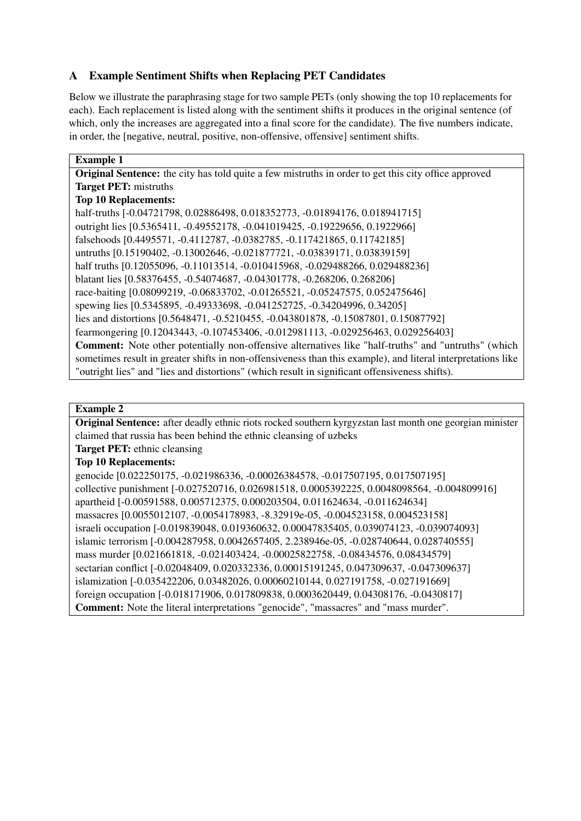# <span id="page-6-0"></span>A Example Sentiment Shifts when Replacing PET Candidates

Below we illustrate the paraphrasing stage for two sample PETs (only showing the top 10 replacements for each). Each replacement is listed along with the sentiment shifts it produces in the original sentence (of which, only the increases are aggregated into a final score for the candidate). The five numbers indicate, in order, the [negative, neutral, positive, non-offensive, offensive] sentiment shifts.

## Example 1 Original Sentence: the city has told quite a few mistruths in order to get this city office approved Target PET: mistruths Top 10 Replacements: half-truths [-0.04721798, 0.02886498, 0.018352773, -0.01894176, 0.018941715] outright lies [0.5365411, -0.49552178, -0.041019425, -0.19229656, 0.1922966] falsehoods [0.4495571, -0.4112787, -0.0382785, -0.117421865, 0.11742185] untruths [0.15190402, -0.13002646, -0.021877721, -0.03839171, 0.03839159] half truths [0.12055096, -0.11013514, -0.010415968, -0.029488266, 0.029488236] blatant lies [0.58376455, -0.54074687, -0.04301778, -0.268206, 0.268206] race-baiting [0.08099219, -0.06833702, -0.01265521, -0.05247575, 0.052475646] spewing lies [0.5345895, -0.49333698, -0.041252725, -0.34204996, 0.34205] lies and distortions [0.5648471, -0.5210455, -0.043801878, -0.15087801, 0.15087792] fearmongering [0.12043443, -0.107453406, -0.012981113, -0.029256463, 0.029256403] Comment: Note other potentially non-offensive alternatives like "half-truths" and "untruths" (which sometimes result in greater shifts in non-offensiveness than this example), and literal interpretations like "outright lies" and "lies and distortions" (which result in significant offensiveness shifts).

## Example 2

Original Sentence: after deadly ethnic riots rocked southern kyrgyzstan last month one georgian minister claimed that russia has been behind the ethnic cleansing of uzbeks

Target PET: ethnic cleansing

## Top 10 Replacements:

genocide [0.022250175, -0.021986336, -0.00026384578, -0.017507195, 0.017507195] collective punishment [-0.027520716, 0.026981518, 0.0005392225, 0.0048098564, -0.004809916] apartheid [-0.00591588, 0.005712375, 0.000203504, 0.011624634, -0.011624634] massacres [0.0055012107, -0.0054178983, -8.32919e-05, -0.004523158, 0.004523158] israeli occupation [-0.019839048, 0.019360632, 0.00047835405, 0.039074123, -0.039074093] islamic terrorism [-0.004287958, 0.0042657405, 2.238946e-05, -0.028740644, 0.028740555] mass murder [0.021661818, -0.021403424, -0.00025822758, -0.08434576, 0.08434579] sectarian conflict [-0.02048409, 0.020332336, 0.00015191245, 0.047309637, -0.047309637] islamization [-0.035422206, 0.03482026, 0.00060210144, 0.027191758, -0.027191669] foreign occupation [-0.018171906, 0.017809838, 0.0003620449, 0.04308176, -0.0430817] Comment: Note the literal interpretations "genocide", "massacres" and "mass murder".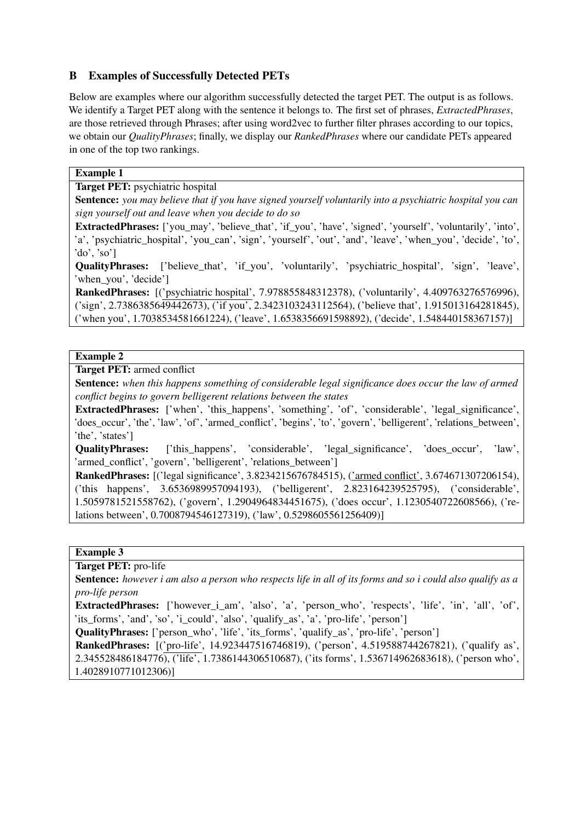## <span id="page-7-0"></span>B Examples of Successfully Detected PETs

Below are examples where our algorithm successfully detected the target PET. The output is as follows. We identify a Target PET along with the sentence it belongs to. The first set of phrases, *ExtractedPhrases*, are those retrieved through Phrases; after using word2vec to further filter phrases according to our topics, we obtain our *QualityPhrases*; finally, we display our *RankedPhrases* where our candidate PETs appeared in one of the top two rankings.

### Example 1

### Target PET: psychiatric hospital

Sentence: *you may believe that if you have signed yourself voluntarily into a psychiatric hospital you can sign yourself out and leave when you decide to do so*

ExtractedPhrases: ['you\_may', 'believe\_that', 'if\_you', 'have', 'signed', 'yourself', 'voluntarily', 'into', 'a', 'psychiatric\_hospital', 'you\_can', 'sign', 'yourself', 'out', 'and', 'leave', 'when\_you', 'decide', 'to', 'do', 'so']

QualityPhrases: ['believe\_that', 'if\_you', 'voluntarily', 'psychiatric\_hospital', 'sign', 'leave', 'when\_you', 'decide']

RankedPhrases: [('psychiatric hospital', 7.978855848312378), ('voluntarily', 4.409763276576996), ('sign', 2.7386385649442673), ('if you', 2.3423103243112564), ('believe that', 1.915013164281845), ('when you', 1.7038534581661224), ('leave', 1.6538356691598892), ('decide', 1.548440158367157)]

## Example 2

Target PET: armed conflict

Sentence: *when this happens something of considerable legal significance does occur the law of armed conflict begins to govern belligerent relations between the states*

ExtractedPhrases: ['when', 'this\_happens', 'something', 'of', 'considerable', 'legal\_significance', 'does\_occur', 'the', 'law', 'of', 'armed\_conflict', 'begins', 'to', 'govern', 'belligerent', 'relations\_between', 'the', 'states']

QualityPhrases: ['this\_happens', 'considerable', 'legal\_significance', 'does\_occur', 'law', 'armed\_conflict', 'govern', 'belligerent', 'relations\_between']

RankedPhrases: [('legal significance', 3.8234215676784515), ('armed conflict', 3.674671307206154), ('this happens', 3.6536989957094193), ('belligerent', 2.823164239525795), ('considerable', 1.5059781521558762), ('govern', 1.2904964834451675), ('does occur', 1.1230540722608566), ('relations between', 0.7008794546127319), ('law', 0.5298605561256409)]

## Example 3

Target PET: pro-life

Sentence: *however i am also a person who respects life in all of its forms and so i could also qualify as a pro-life person*

ExtractedPhrases: ['however i am', 'also', 'a', 'person\_who', 'respects', 'life', 'in', 'all', 'of', 'its\_forms', 'and', 'so', 'i\_could', 'also', 'qualify\_as', 'a', 'pro-life', 'person']

**QualityPhrases:** ['person\_who', 'life', 'its\_forms', 'qualify\_as', 'pro-life', 'person']

RankedPhrases: [('pro-life', 14.923447516746819), ('person', 4.519588744267821), ('qualify as',

2.345528486184776), ('life', 1.7386144306510687), ('its forms', 1.536714962683618), ('person who', 1.4028910771012306)]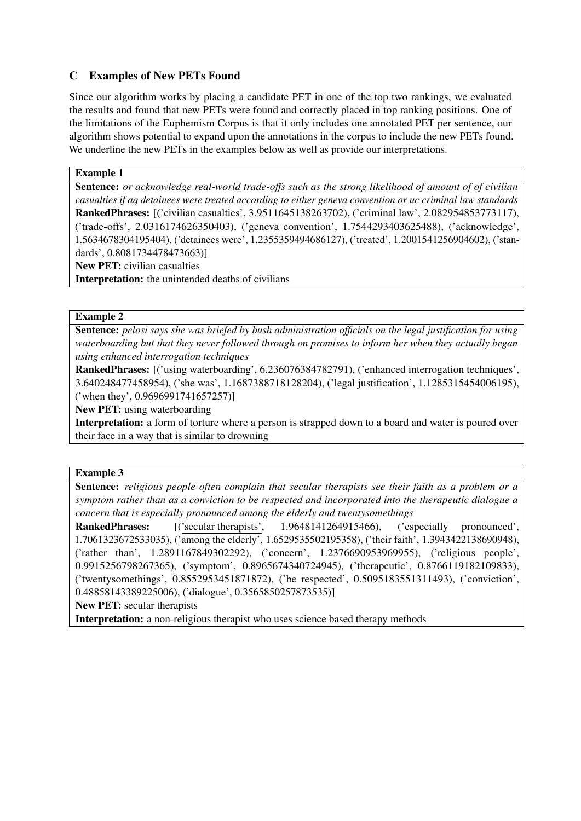## <span id="page-8-0"></span>C Examples of New PETs Found

Since our algorithm works by placing a candidate PET in one of the top two rankings, we evaluated the results and found that new PETs were found and correctly placed in top ranking positions. One of the limitations of the Euphemism Corpus is that it only includes one annotated PET per sentence, our algorithm shows potential to expand upon the annotations in the corpus to include the new PETs found. We underline the new PETs in the examples below as well as provide our interpretations.

## Example 1

Sentence: *or acknowledge real-world trade-offs such as the strong likelihood of amount of of civilian casualties if aq detainees were treated according to either geneva convention or uc criminal law standards* RankedPhrases: [('civilian casualties', 3.9511645138263702), ('criminal law', 2.082954853773117), ('trade-offs', 2.0316174626350403), ('geneva convention', 1.7544293403625488), ('acknowledge', 1.5634678304195404), ('detainees were', 1.2355359494686127), ('treated', 1.2001541256904602), ('standards', 0.8081734478473663)]

New PET: civilian casualties

Interpretation: the unintended deaths of civilians

## Example 2

Sentence: *pelosi says she was briefed by bush administration officials on the legal justification for using waterboarding but that they never followed through on promises to inform her when they actually began using enhanced interrogation techniques*

RankedPhrases: [('using waterboarding', 6.236076384782791), ('enhanced interrogation techniques', 3.640248477458954), ('she was', 1.1687388718128204), ('legal justification', 1.1285315454006195), ('when they', 0.9696991741657257)]

New PET: using waterboarding

Interpretation: a form of torture where a person is strapped down to a board and water is poured over their face in a way that is similar to drowning

## Example 3

Sentence: *religious people often complain that secular therapists see their faith as a problem or a symptom rather than as a conviction to be respected and incorporated into the therapeutic dialogue a concern that is especially pronounced among the elderly and twentysomethings*

RankedPhrases: [('secular therapists', 1.9648141264915466), ('especially pronounced', 1.7061323672533035), ('among the elderly', 1.6529535502195358), ('their faith', 1.3943422138690948), ('rather than', 1.2891167849302292), ('concern', 1.2376690953969955), ('religious people', 0.9915256798267365), ('symptom', 0.8965674340724945), ('therapeutic', 0.8766119182109833), ('twentysomethings', 0.8552953451871872), ('be respected', 0.5095183551311493), ('conviction', 0.48858143389225006), ('dialogue', 0.3565850257873535)]

New PET: secular therapists

Interpretation: a non-religious therapist who uses science based therapy methods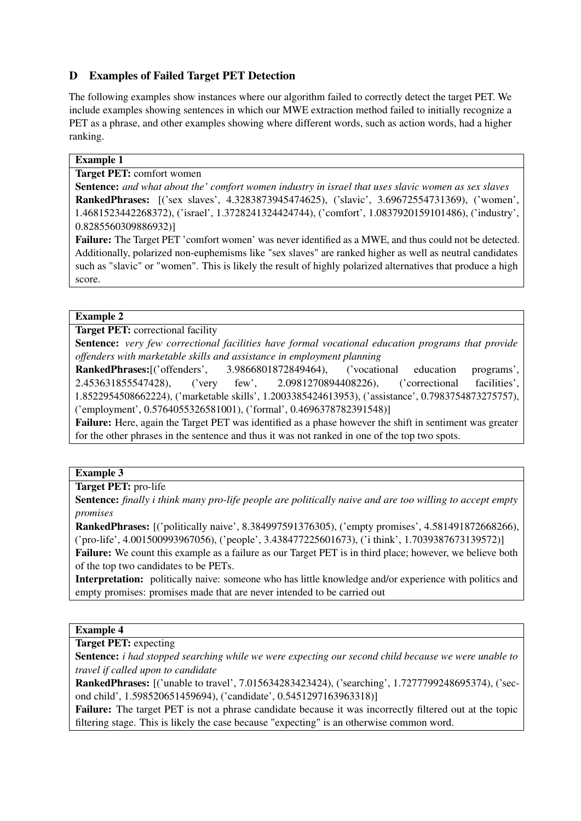# <span id="page-9-0"></span>D Examples of Failed Target PET Detection

The following examples show instances where our algorithm failed to correctly detect the target PET. We include examples showing sentences in which our MWE extraction method failed to initially recognize a PET as a phrase, and other examples showing where different words, such as action words, had a higher ranking.

## Example 1

Target PET: comfort women

Sentence: *and what about the' comfort women industry in israel that uses slavic women as sex slaves* RankedPhrases: [('sex slaves', 4.3283873945474625), ('slavic', 3.69672554731369), ('women', 1.4681523442268372), ('israel', 1.3728241324424744), ('comfort', 1.0837920159101486), ('industry', 0.8285560309886932)]

Failure: The Target PET 'comfort women' was never identified as a MWE, and thus could not be detected. Additionally, polarized non-euphemisms like "sex slaves" are ranked higher as well as neutral candidates such as "slavic" or "women". This is likely the result of highly polarized alternatives that produce a high score.

## Example 2

Target PET: correctional facility

Sentence: *very few correctional facilities have formal vocational education programs that provide offenders with marketable skills and assistance in employment planning*

RankedPhrases:[('offenders', 3.9866801872849464), ('vocational education programs', 2.453631855547428), ('very few', 2.0981270894408226), ('correctional facilities', 1.8522954508662224), ('marketable skills', 1.2003385424613953), ('assistance', 0.7983754873275757), ('employment', 0.5764055326581001), ('formal', 0.4696378782391548)]

Failure: Here, again the Target PET was identified as a phase however the shift in sentiment was greater for the other phrases in the sentence and thus it was not ranked in one of the top two spots.

## Example 3

Target PET: pro-life

Sentence: *finally i think many pro-life people are politically naive and are too willing to accept empty promises*

RankedPhrases: [('politically naive', 8.384997591376305), ('empty promises', 4.581491872668266), ('pro-life', 4.001500993967056), ('people', 3.438477225601673), ('i think', 1.7039387673139572)] Failure: We count this example as a failure as our Target PET is in third place; however, we believe both of the top two candidates to be PETs.

Interpretation: politically naive: someone who has little knowledge and/or experience with politics and empty promises: promises made that are never intended to be carried out

## Example 4

Target PET: expecting

Sentence: *i had stopped searching while we were expecting our second child because we were unable to travel if called upon to candidate*

RankedPhrases: [('unable to travel', 7.015634283423424), ('searching', 1.7277799248695374), ('second child', 1.598520651459694), ('candidate', 0.5451297163963318)]

Failure: The target PET is not a phrase candidate because it was incorrectly filtered out at the topic filtering stage. This is likely the case because "expecting" is an otherwise common word.